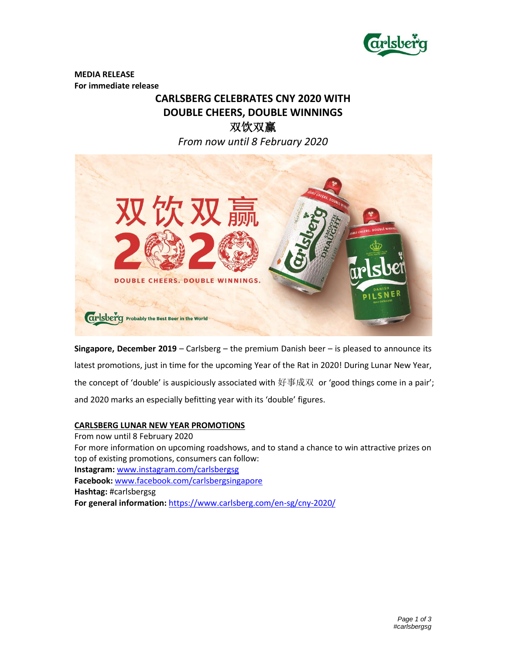

**MEDIA RELEASE For immediate release** 

# **CARLSBERG CELEBRATES CNY 2020 WITH DOUBLE CHEERS, DOUBLE WINNINGS** 双饮双赢 *From now until 8 February 2020*



**Singapore, December 2019** *–* Carlsberg – the premium Danish beer – is pleased to announce its latest promotions, just in time for the upcoming Year of the Rat in 2020! During Lunar New Year, the concept of 'double' is auspiciously associated with 好事成双 or 'good things come in a pair'; and 2020 marks an especially befitting year with its 'double' figures.

### **CARLSBERG LUNAR NEW YEAR PROMOTIONS**

From now until 8 February 2020 For more information on upcoming roadshows, and to stand a chance to win attractive prizes on top of existing promotions, consumers can follow: **Instagram:** [www.instagram.com/carlsbergsg](http://www.instagram.com/carlsbergsg) **Facebook:** [www.facebook.com/carlsbergsingapore](http://www.facebook.com/carlsbergsingapore) **Hashtag:** #carlsbergsg **For general information:** <https://www.carlsberg.com/en-sg/cny-2020/>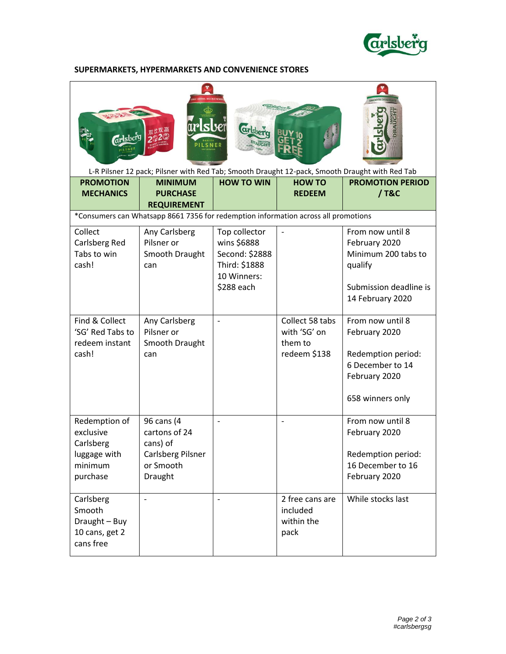

## **SUPERMARKETS, HYPERMARKETS AND CONVENIENCE STORES**

| irlsbei<br><i>drsberg</i><br>L-R Pilsner 12 pack; Pilsner with Red Tab; Smooth Draught 12-pack, Smooth Draught with Red Tab |                                                                                      |                                                                                              |                                                            |                                                                                                                   |  |  |  |
|-----------------------------------------------------------------------------------------------------------------------------|--------------------------------------------------------------------------------------|----------------------------------------------------------------------------------------------|------------------------------------------------------------|-------------------------------------------------------------------------------------------------------------------|--|--|--|
| <b>PROMOTION</b><br><b>MECHANICS</b>                                                                                        | <b>MINIMUM</b><br><b>PURCHASE</b><br><b>REQUIREMENT</b>                              | <b>HOW TO WIN</b>                                                                            | <b>HOW TO</b><br><b>REDEEM</b>                             | <b>PROMOTION PERIOD</b><br>/ T&C                                                                                  |  |  |  |
|                                                                                                                             | *Consumers can Whatsapp 8661 7356 for redemption information across all promotions   |                                                                                              |                                                            |                                                                                                                   |  |  |  |
| Collect<br>Carlsberg Red<br>Tabs to win<br>cash!                                                                            | Any Carlsberg<br>Pilsner or<br>Smooth Draught<br>can                                 | Top collector<br>wins \$6888<br>Second: \$2888<br>Third: \$1888<br>10 Winners:<br>\$288 each |                                                            | From now until 8<br>February 2020<br>Minimum 200 tabs to<br>qualify<br>Submission deadline is<br>14 February 2020 |  |  |  |
| Find & Collect<br>'SG' Red Tabs to<br>redeem instant<br>cash!                                                               | Any Carlsberg<br>Pilsner or<br>Smooth Draught<br>can                                 |                                                                                              | Collect 58 tabs<br>with 'SG' on<br>them to<br>redeem \$138 | From now until 8<br>February 2020<br>Redemption period:<br>6 December to 14<br>February 2020<br>658 winners only  |  |  |  |
| Redemption of<br>exclusive<br>Carlsberg<br>luggage with<br>minimum<br>purchase                                              | 96 cans (4<br>cartons of 24<br>cans) of<br>Carlsberg Pilsner<br>or Smooth<br>Draught |                                                                                              |                                                            | From now until 8<br>February 2020<br>Redemption period:<br>16 December to 16<br>February 2020                     |  |  |  |
| Carlsberg<br>Smooth<br>Draught - Buy<br>10 cans, get 2<br>cans free                                                         |                                                                                      |                                                                                              | 2 free cans are<br>included<br>within the<br>pack          | While stocks last                                                                                                 |  |  |  |